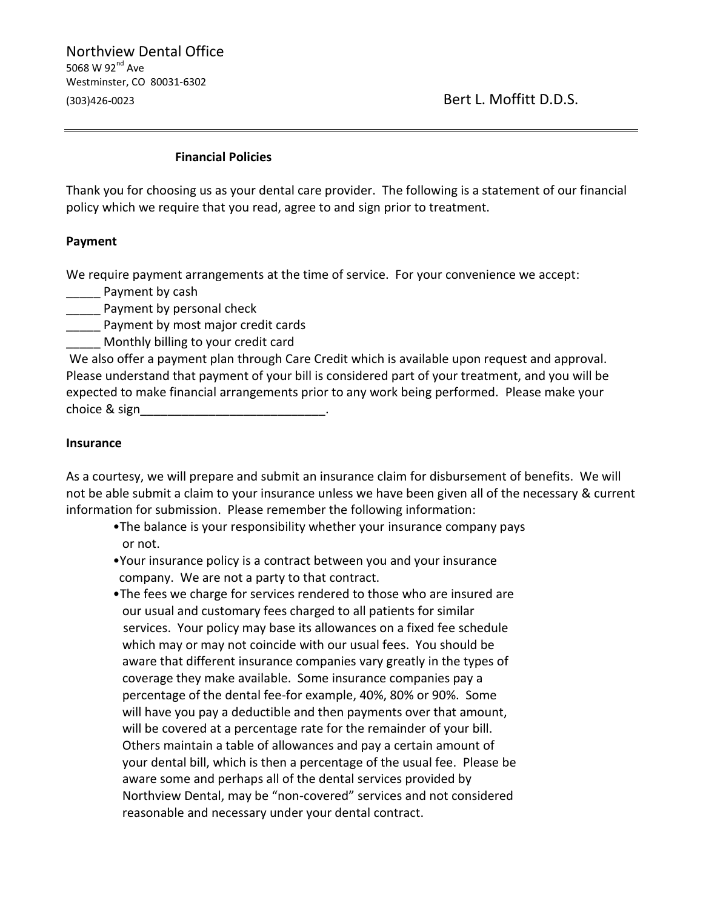Northview Dental Office 5068 W 92 $^{\text{nd}}$  Ave Westminster, CO 80031-6302 (303)426-0023 Bert L. Moffitt D.D.S.

## **Financial Policies**

Thank you for choosing us as your dental care provider. The following is a statement of our financial policy which we require that you read, agree to and sign prior to treatment.

## **Payment**

We require payment arrangements at the time of service. For your convenience we accept:

Payment by cash

**\_\_\_\_\_** Payment by personal check

\_\_\_\_\_ Payment by most major credit cards

\_\_\_\_\_ Monthly billing to your credit card

We also offer a payment plan through Care Credit which is available upon request and approval. Please understand that payment of your bill is considered part of your treatment, and you will be expected to make financial arrangements prior to any work being performed. Please make your choice & sign\_\_\_\_\_

## **Insurance**

As a courtesy, we will prepare and submit an insurance claim for disbursement of benefits. We will not be able submit a claim to your insurance unless we have been given all of the necessary & current information for submission. Please remember the following information:

- •The balance is your responsibility whether your insurance company pays or not.
- •Your insurance policy is a contract between you and your insurance company. We are not a party to that contract.
- •The fees we charge for services rendered to those who are insured are our usual and customary fees charged to all patients for similar services. Your policy may base its allowances on a fixed fee schedule which may or may not coincide with our usual fees. You should be aware that different insurance companies vary greatly in the types of coverage they make available. Some insurance companies pay a percentage of the dental fee-for example, 40%, 80% or 90%. Some will have you pay a deductible and then payments over that amount, will be covered at a percentage rate for the remainder of your bill. Others maintain a table of allowances and pay a certain amount of your dental bill, which is then a percentage of the usual fee. Please be aware some and perhaps all of the dental services provided by Northview Dental, may be "non-covered" services and not considered reasonable and necessary under your dental contract.